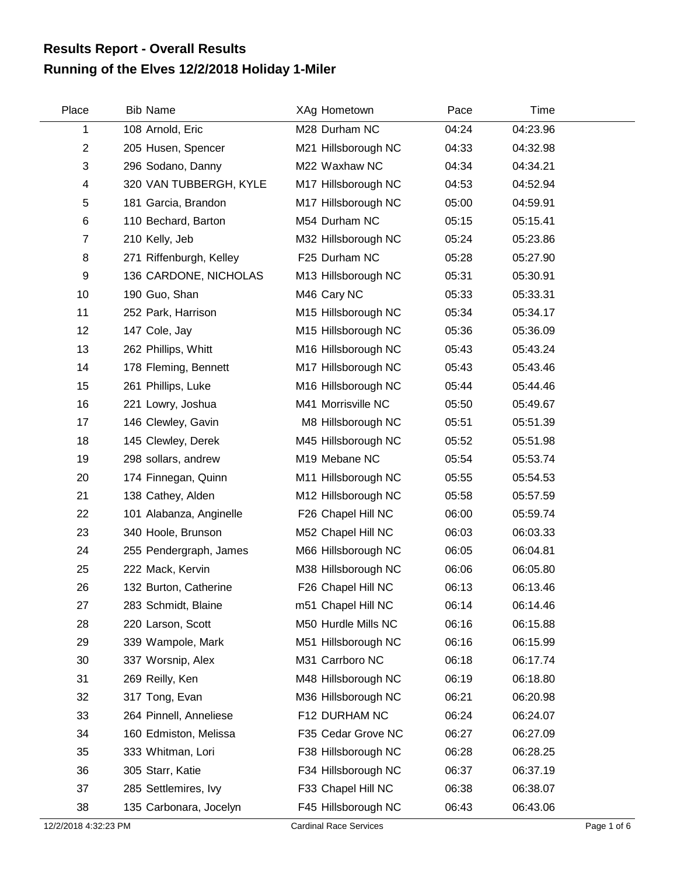## **Running of the Elves 12/2/2018 Holiday 1-Miler Results Report - Overall Results**

| Place          | <b>Bib Name</b>         | XAg Hometown        | Pace  | Time     |  |
|----------------|-------------------------|---------------------|-------|----------|--|
| 1              | 108 Arnold, Eric        | M28 Durham NC       | 04:24 | 04:23.96 |  |
| $\overline{2}$ | 205 Husen, Spencer      | M21 Hillsborough NC | 04:33 | 04:32.98 |  |
| 3              | 296 Sodano, Danny       | M22 Waxhaw NC       | 04:34 | 04:34.21 |  |
| 4              | 320 VAN TUBBERGH, KYLE  | M17 Hillsborough NC | 04:53 | 04:52.94 |  |
| 5              | 181 Garcia, Brandon     | M17 Hillsborough NC | 05:00 | 04:59.91 |  |
| 6              | 110 Bechard, Barton     | M54 Durham NC       | 05:15 | 05:15.41 |  |
| $\overline{7}$ | 210 Kelly, Jeb          | M32 Hillsborough NC | 05:24 | 05:23.86 |  |
| 8              | 271 Riffenburgh, Kelley | F25 Durham NC       | 05:28 | 05:27.90 |  |
| 9              | 136 CARDONE, NICHOLAS   | M13 Hillsborough NC | 05:31 | 05:30.91 |  |
| 10             | 190 Guo, Shan           | M46 Cary NC         | 05:33 | 05:33.31 |  |
| 11             | 252 Park, Harrison      | M15 Hillsborough NC | 05:34 | 05:34.17 |  |
| 12             | 147 Cole, Jay           | M15 Hillsborough NC | 05:36 | 05:36.09 |  |
| 13             | 262 Phillips, Whitt     | M16 Hillsborough NC | 05:43 | 05:43.24 |  |
| 14             | 178 Fleming, Bennett    | M17 Hillsborough NC | 05:43 | 05:43.46 |  |
| 15             | 261 Phillips, Luke      | M16 Hillsborough NC | 05:44 | 05:44.46 |  |
| 16             | 221 Lowry, Joshua       | M41 Morrisville NC  | 05:50 | 05:49.67 |  |
| 17             | 146 Clewley, Gavin      | M8 Hillsborough NC  | 05:51 | 05:51.39 |  |
| 18             | 145 Clewley, Derek      | M45 Hillsborough NC | 05:52 | 05:51.98 |  |
| 19             | 298 sollars, andrew     | M19 Mebane NC       | 05:54 | 05:53.74 |  |
| 20             | 174 Finnegan, Quinn     | M11 Hillsborough NC | 05:55 | 05:54.53 |  |
| 21             | 138 Cathey, Alden       | M12 Hillsborough NC | 05:58 | 05:57.59 |  |
| 22             | 101 Alabanza, Anginelle | F26 Chapel Hill NC  | 06:00 | 05:59.74 |  |
| 23             | 340 Hoole, Brunson      | M52 Chapel Hill NC  | 06:03 | 06:03.33 |  |
| 24             | 255 Pendergraph, James  | M66 Hillsborough NC | 06:05 | 06:04.81 |  |
| 25             | 222 Mack, Kervin        | M38 Hillsborough NC | 06:06 | 06:05.80 |  |
| 26             | 132 Burton, Catherine   | F26 Chapel Hill NC  | 06:13 | 06:13.46 |  |
| 27             | 283 Schmidt, Blaine     | m51 Chapel Hill NC  | 06:14 | 06:14.46 |  |
| 28             | 220 Larson, Scott       | M50 Hurdle Mills NC | 06:16 | 06:15.88 |  |
| 29             | 339 Wampole, Mark       | M51 Hillsborough NC | 06:16 | 06:15.99 |  |
| 30             | 337 Worsnip, Alex       | M31 Carrboro NC     | 06:18 | 06:17.74 |  |
| 31             | 269 Reilly, Ken         | M48 Hillsborough NC | 06:19 | 06:18.80 |  |
| 32             | 317 Tong, Evan          | M36 Hillsborough NC | 06:21 | 06:20.98 |  |
| 33             | 264 Pinnell, Anneliese  | F12 DURHAM NC       | 06:24 | 06:24.07 |  |
| 34             | 160 Edmiston, Melissa   | F35 Cedar Grove NC  | 06:27 | 06:27.09 |  |
| 35             | 333 Whitman, Lori       | F38 Hillsborough NC | 06:28 | 06:28.25 |  |
| 36             | 305 Starr, Katie        | F34 Hillsborough NC | 06:37 | 06:37.19 |  |
| 37             | 285 Settlemires, Ivy    | F33 Chapel Hill NC  | 06:38 | 06:38.07 |  |
| 38             | 135 Carbonara, Jocelyn  | F45 Hillsborough NC | 06:43 | 06:43.06 |  |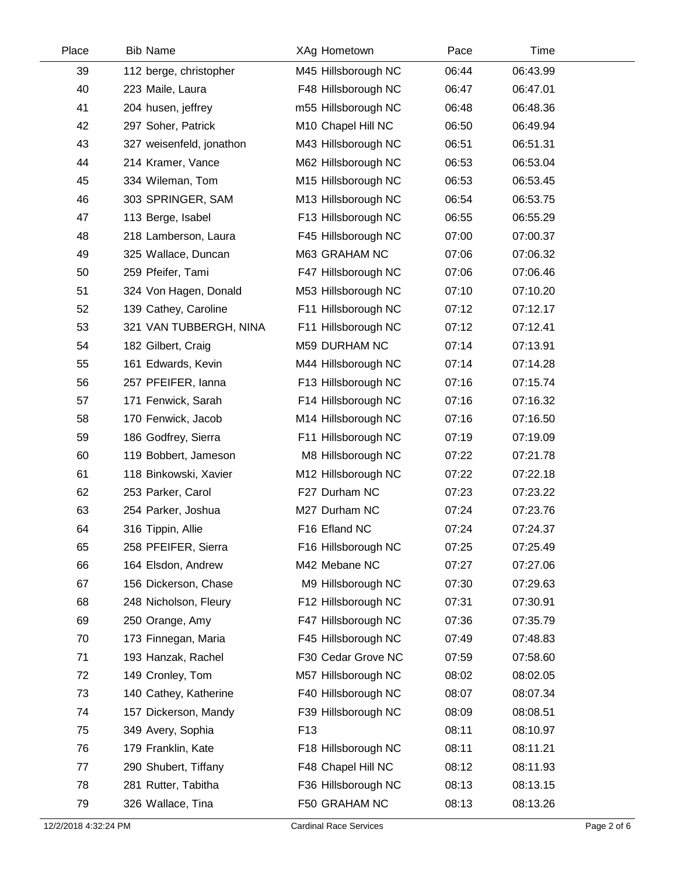| Place | <b>Bib Name</b>          | XAg Hometown        | Pace  | Time     |  |
|-------|--------------------------|---------------------|-------|----------|--|
| 39    | 112 berge, christopher   | M45 Hillsborough NC | 06:44 | 06:43.99 |  |
| 40    | 223 Maile, Laura         | F48 Hillsborough NC | 06:47 | 06:47.01 |  |
| 41    | 204 husen, jeffrey       | m55 Hillsborough NC | 06:48 | 06:48.36 |  |
| 42    | 297 Soher, Patrick       | M10 Chapel Hill NC  | 06:50 | 06:49.94 |  |
| 43    | 327 weisenfeld, jonathon | M43 Hillsborough NC | 06:51 | 06:51.31 |  |
| 44    | 214 Kramer, Vance        | M62 Hillsborough NC | 06:53 | 06:53.04 |  |
| 45    | 334 Wileman, Tom         | M15 Hillsborough NC | 06:53 | 06:53.45 |  |
| 46    | 303 SPRINGER, SAM        | M13 Hillsborough NC | 06:54 | 06:53.75 |  |
| 47    | 113 Berge, Isabel        | F13 Hillsborough NC | 06:55 | 06:55.29 |  |
| 48    | 218 Lamberson, Laura     | F45 Hillsborough NC | 07:00 | 07:00.37 |  |
| 49    | 325 Wallace, Duncan      | M63 GRAHAM NC       | 07:06 | 07:06.32 |  |
| 50    | 259 Pfeifer, Tami        | F47 Hillsborough NC | 07:06 | 07:06.46 |  |
| 51    | 324 Von Hagen, Donald    | M53 Hillsborough NC | 07:10 | 07:10.20 |  |
| 52    | 139 Cathey, Caroline     | F11 Hillsborough NC | 07:12 | 07:12.17 |  |
| 53    | 321 VAN TUBBERGH, NINA   | F11 Hillsborough NC | 07:12 | 07:12.41 |  |
| 54    | 182 Gilbert, Craig       | M59 DURHAM NC       | 07:14 | 07:13.91 |  |
| 55    | 161 Edwards, Kevin       | M44 Hillsborough NC | 07:14 | 07:14.28 |  |
| 56    | 257 PFEIFER, Ianna       | F13 Hillsborough NC | 07:16 | 07:15.74 |  |
| 57    | 171 Fenwick, Sarah       | F14 Hillsborough NC | 07:16 | 07:16.32 |  |
| 58    | 170 Fenwick, Jacob       | M14 Hillsborough NC | 07:16 | 07:16.50 |  |
| 59    | 186 Godfrey, Sierra      | F11 Hillsborough NC | 07:19 | 07:19.09 |  |
| 60    | 119 Bobbert, Jameson     | M8 Hillsborough NC  | 07:22 | 07:21.78 |  |
| 61    | 118 Binkowski, Xavier    | M12 Hillsborough NC | 07:22 | 07:22.18 |  |
| 62    | 253 Parker, Carol        | F27 Durham NC       | 07:23 | 07:23.22 |  |
| 63    | 254 Parker, Joshua       | M27 Durham NC       | 07:24 | 07:23.76 |  |
| 64    | 316 Tippin, Allie        | F16 Efland NC       | 07:24 | 07:24.37 |  |
| 65    | 258 PFEIFER, Sierra      | F16 Hillsborough NC | 07:25 | 07:25.49 |  |
| 66    | 164 Elsdon, Andrew       | M42 Mebane NC       | 07:27 | 07:27.06 |  |
| 67    | 156 Dickerson, Chase     | M9 Hillsborough NC  | 07:30 | 07:29.63 |  |
| 68    | 248 Nicholson, Fleury    | F12 Hillsborough NC | 07:31 | 07:30.91 |  |
| 69    | 250 Orange, Amy          | F47 Hillsborough NC | 07:36 | 07:35.79 |  |
| 70    | 173 Finnegan, Maria      | F45 Hillsborough NC | 07:49 | 07:48.83 |  |
| 71    | 193 Hanzak, Rachel       | F30 Cedar Grove NC  | 07:59 | 07:58.60 |  |
| 72    | 149 Cronley, Tom         | M57 Hillsborough NC | 08:02 | 08:02.05 |  |
| 73    | 140 Cathey, Katherine    | F40 Hillsborough NC | 08:07 | 08:07.34 |  |
| 74    | 157 Dickerson, Mandy     | F39 Hillsborough NC | 08:09 | 08:08.51 |  |
| 75    | 349 Avery, Sophia        | F <sub>13</sub>     | 08:11 | 08:10.97 |  |
| 76    | 179 Franklin, Kate       | F18 Hillsborough NC | 08:11 | 08:11.21 |  |
| 77    | 290 Shubert, Tiffany     | F48 Chapel Hill NC  | 08:12 | 08:11.93 |  |
| 78    | 281 Rutter, Tabitha      | F36 Hillsborough NC | 08:13 | 08:13.15 |  |
| 79    | 326 Wallace, Tina        | F50 GRAHAM NC       | 08:13 | 08:13.26 |  |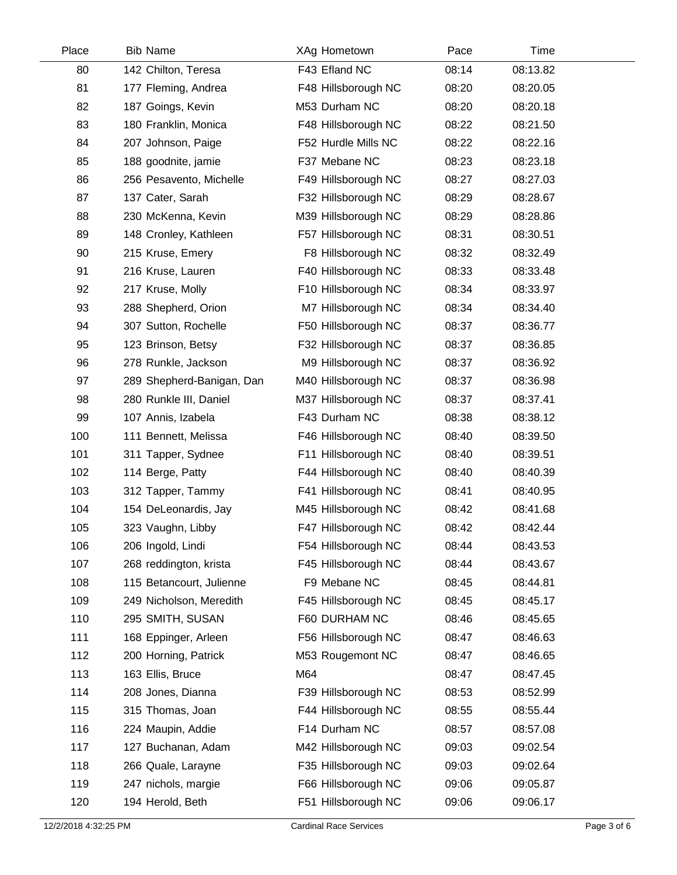| Place | <b>Bib Name</b>           | XAg Hometown        | Pace  | Time     |  |
|-------|---------------------------|---------------------|-------|----------|--|
| 80    | 142 Chilton, Teresa       | F43 Efland NC       | 08:14 | 08:13.82 |  |
| 81    | 177 Fleming, Andrea       | F48 Hillsborough NC | 08:20 | 08:20.05 |  |
| 82    | 187 Goings, Kevin         | M53 Durham NC       | 08:20 | 08:20.18 |  |
| 83    | 180 Franklin, Monica      | F48 Hillsborough NC | 08:22 | 08:21.50 |  |
| 84    | 207 Johnson, Paige        | F52 Hurdle Mills NC | 08:22 | 08:22.16 |  |
| 85    | 188 goodnite, jamie       | F37 Mebane NC       | 08:23 | 08:23.18 |  |
| 86    | 256 Pesavento, Michelle   | F49 Hillsborough NC | 08:27 | 08:27.03 |  |
| 87    | 137 Cater, Sarah          | F32 Hillsborough NC | 08:29 | 08:28.67 |  |
| 88    | 230 McKenna, Kevin        | M39 Hillsborough NC | 08:29 | 08:28.86 |  |
| 89    | 148 Cronley, Kathleen     | F57 Hillsborough NC | 08:31 | 08:30.51 |  |
| 90    | 215 Kruse, Emery          | F8 Hillsborough NC  | 08:32 | 08:32.49 |  |
| 91    | 216 Kruse, Lauren         | F40 Hillsborough NC | 08:33 | 08:33.48 |  |
| 92    | 217 Kruse, Molly          | F10 Hillsborough NC | 08:34 | 08:33.97 |  |
| 93    | 288 Shepherd, Orion       | M7 Hillsborough NC  | 08:34 | 08:34.40 |  |
| 94    | 307 Sutton, Rochelle      | F50 Hillsborough NC | 08:37 | 08:36.77 |  |
| 95    | 123 Brinson, Betsy        | F32 Hillsborough NC | 08:37 | 08:36.85 |  |
| 96    | 278 Runkle, Jackson       | M9 Hillsborough NC  | 08:37 | 08:36.92 |  |
| 97    | 289 Shepherd-Banigan, Dan | M40 Hillsborough NC | 08:37 | 08:36.98 |  |
| 98    | 280 Runkle III, Daniel    | M37 Hillsborough NC | 08:37 | 08:37.41 |  |
| 99    | 107 Annis, Izabela        | F43 Durham NC       | 08:38 | 08:38.12 |  |
| 100   | 111 Bennett, Melissa      | F46 Hillsborough NC | 08:40 | 08:39.50 |  |
| 101   | 311 Tapper, Sydnee        | F11 Hillsborough NC | 08:40 | 08:39.51 |  |
| 102   | 114 Berge, Patty          | F44 Hillsborough NC | 08:40 | 08:40.39 |  |
| 103   | 312 Tapper, Tammy         | F41 Hillsborough NC | 08:41 | 08:40.95 |  |
| 104   | 154 DeLeonardis, Jay      | M45 Hillsborough NC | 08:42 | 08:41.68 |  |
| 105   | 323 Vaughn, Libby         | F47 Hillsborough NC | 08:42 | 08:42.44 |  |
| 106   | 206 Ingold, Lindi         | F54 Hillsborough NC | 08:44 | 08:43.53 |  |
| 107   | 268 reddington, krista    | F45 Hillsborough NC | 08:44 | 08:43.67 |  |
| 108   | 115 Betancourt, Julienne  | F9 Mebane NC        | 08:45 | 08:44.81 |  |
| 109   | 249 Nicholson, Meredith   | F45 Hillsborough NC | 08:45 | 08:45.17 |  |
| 110   | 295 SMITH, SUSAN          | F60 DURHAM NC       | 08:46 | 08:45.65 |  |
| 111   | 168 Eppinger, Arleen      | F56 Hillsborough NC | 08:47 | 08:46.63 |  |
| 112   | 200 Horning, Patrick      | M53 Rougemont NC    | 08:47 | 08:46.65 |  |
| 113   | 163 Ellis, Bruce          | M64                 | 08:47 | 08:47.45 |  |
| 114   | 208 Jones, Dianna         | F39 Hillsborough NC | 08:53 | 08:52.99 |  |
| 115   | 315 Thomas, Joan          | F44 Hillsborough NC | 08:55 | 08:55.44 |  |
| 116   | 224 Maupin, Addie         | F14 Durham NC       | 08:57 | 08:57.08 |  |
| 117   | 127 Buchanan, Adam        | M42 Hillsborough NC | 09:03 | 09:02.54 |  |
| 118   | 266 Quale, Larayne        | F35 Hillsborough NC | 09:03 | 09:02.64 |  |
| 119   | 247 nichols, margie       | F66 Hillsborough NC | 09:06 | 09:05.87 |  |
| 120   | 194 Herold, Beth          | F51 Hillsborough NC | 09:06 | 09:06.17 |  |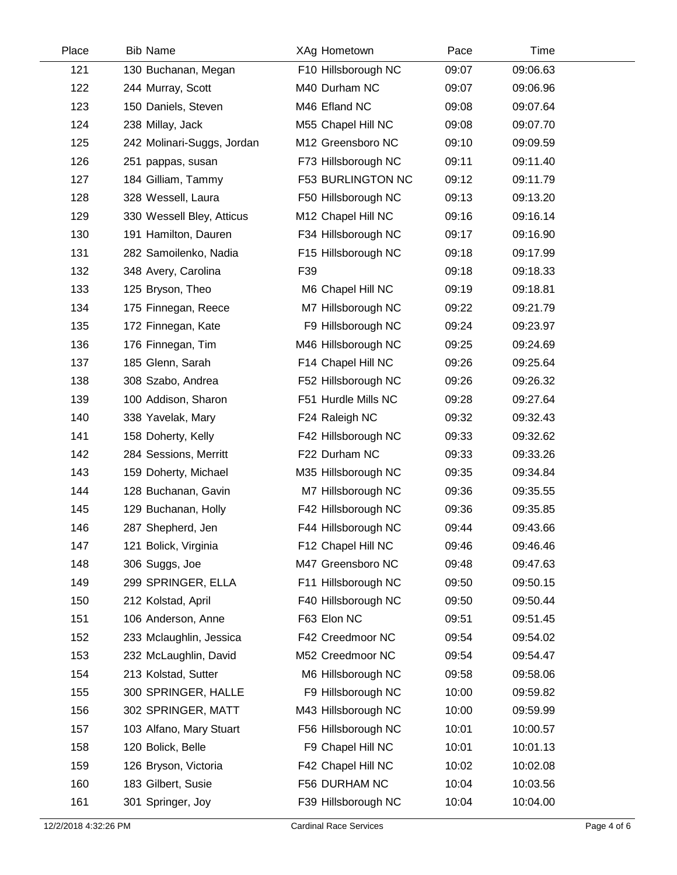| Place | <b>Bib Name</b>            | XAg Hometown             | Pace  | Time     |  |
|-------|----------------------------|--------------------------|-------|----------|--|
| 121   | 130 Buchanan, Megan        | F10 Hillsborough NC      | 09:07 | 09:06.63 |  |
| 122   | 244 Murray, Scott          | M40 Durham NC            | 09:07 | 09:06.96 |  |
| 123   | 150 Daniels, Steven        | M46 Efland NC            | 09:08 | 09:07.64 |  |
| 124   | 238 Millay, Jack           | M55 Chapel Hill NC       | 09:08 | 09:07.70 |  |
| 125   | 242 Molinari-Suggs, Jordan | M12 Greensboro NC        | 09:10 | 09:09.59 |  |
| 126   | 251 pappas, susan          | F73 Hillsborough NC      | 09:11 | 09:11.40 |  |
| 127   | 184 Gilliam, Tammy         | <b>F53 BURLINGTON NC</b> | 09:12 | 09:11.79 |  |
| 128   | 328 Wessell, Laura         | F50 Hillsborough NC      | 09:13 | 09:13.20 |  |
| 129   | 330 Wessell Bley, Atticus  | M12 Chapel Hill NC       | 09:16 | 09:16.14 |  |
| 130   | 191 Hamilton, Dauren       | F34 Hillsborough NC      | 09:17 | 09:16.90 |  |
| 131   | 282 Samoilenko, Nadia      | F15 Hillsborough NC      | 09:18 | 09:17.99 |  |
| 132   | 348 Avery, Carolina        | F39                      | 09:18 | 09:18.33 |  |
| 133   | 125 Bryson, Theo           | M6 Chapel Hill NC        | 09:19 | 09:18.81 |  |
| 134   | 175 Finnegan, Reece        | M7 Hillsborough NC       | 09:22 | 09:21.79 |  |
| 135   | 172 Finnegan, Kate         | F9 Hillsborough NC       | 09:24 | 09:23.97 |  |
| 136   | 176 Finnegan, Tim          | M46 Hillsborough NC      | 09:25 | 09:24.69 |  |
| 137   | 185 Glenn, Sarah           | F14 Chapel Hill NC       | 09:26 | 09:25.64 |  |
| 138   | 308 Szabo, Andrea          | F52 Hillsborough NC      | 09:26 | 09:26.32 |  |
| 139   | 100 Addison, Sharon        | F51 Hurdle Mills NC      | 09:28 | 09:27.64 |  |
| 140   | 338 Yavelak, Mary          | F24 Raleigh NC           | 09:32 | 09:32.43 |  |
| 141   | 158 Doherty, Kelly         | F42 Hillsborough NC      | 09:33 | 09:32.62 |  |
| 142   | 284 Sessions, Merritt      | F22 Durham NC            | 09:33 | 09:33.26 |  |
| 143   | 159 Doherty, Michael       | M35 Hillsborough NC      | 09:35 | 09:34.84 |  |
| 144   | 128 Buchanan, Gavin        | M7 Hillsborough NC       | 09:36 | 09:35.55 |  |
| 145   | 129 Buchanan, Holly        | F42 Hillsborough NC      | 09:36 | 09:35.85 |  |
| 146   | 287 Shepherd, Jen          | F44 Hillsborough NC      | 09:44 | 09:43.66 |  |
| 147   | 121 Bolick, Virginia       | F12 Chapel Hill NC       | 09:46 | 09:46.46 |  |
| 148   | 306 Suggs, Joe             | M47 Greensboro NC        | 09:48 | 09:47.63 |  |
| 149   | 299 SPRINGER, ELLA         | F11 Hillsborough NC      | 09:50 | 09:50.15 |  |
| 150   | 212 Kolstad, April         | F40 Hillsborough NC      | 09:50 | 09:50.44 |  |
| 151   | 106 Anderson, Anne         | F63 Elon NC              | 09:51 | 09:51.45 |  |
| 152   | 233 Mclaughlin, Jessica    | F42 Creedmoor NC         | 09:54 | 09:54.02 |  |
| 153   | 232 McLaughlin, David      | M52 Creedmoor NC         | 09:54 | 09:54.47 |  |
| 154   | 213 Kolstad, Sutter        | M6 Hillsborough NC       | 09:58 | 09:58.06 |  |
| 155   | 300 SPRINGER, HALLE        | F9 Hillsborough NC       | 10:00 | 09:59.82 |  |
| 156   | 302 SPRINGER, MATT         | M43 Hillsborough NC      | 10:00 | 09:59.99 |  |
| 157   | 103 Alfano, Mary Stuart    | F56 Hillsborough NC      | 10:01 | 10:00.57 |  |
| 158   | 120 Bolick, Belle          | F9 Chapel Hill NC        | 10:01 | 10:01.13 |  |
| 159   | 126 Bryson, Victoria       | F42 Chapel Hill NC       | 10:02 | 10:02.08 |  |
| 160   | 183 Gilbert, Susie         | F56 DURHAM NC            | 10:04 | 10:03.56 |  |
| 161   | 301 Springer, Joy          | F39 Hillsborough NC      | 10:04 | 10:04.00 |  |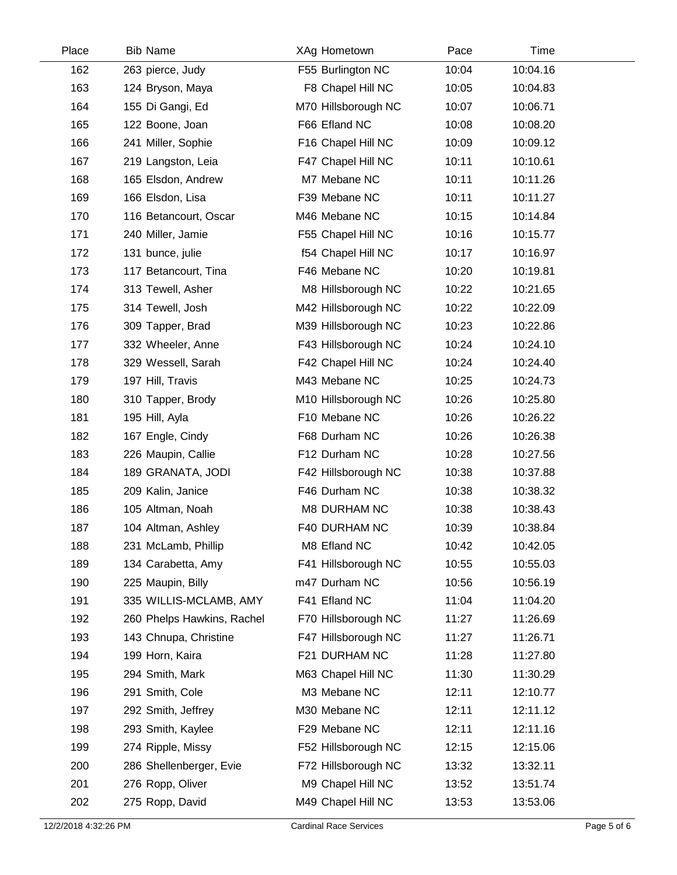| Place | <b>Bib Name</b>            | XAg Hometown        | Pace  | Time     |  |
|-------|----------------------------|---------------------|-------|----------|--|
| 162   | 263 pierce, Judy           | F55 Burlington NC   | 10:04 | 10:04.16 |  |
| 163   | 124 Bryson, Maya           | F8 Chapel Hill NC   | 10:05 | 10:04.83 |  |
| 164   | 155 Di Gangi, Ed           | M70 Hillsborough NC | 10:07 | 10:06.71 |  |
| 165   | 122 Boone, Joan            | F66 Efland NC       | 10:08 | 10:08.20 |  |
| 166   | 241 Miller, Sophie         | F16 Chapel Hill NC  | 10:09 | 10:09.12 |  |
| 167   | 219 Langston, Leia         | F47 Chapel Hill NC  | 10:11 | 10:10.61 |  |
| 168   | 165 Elsdon, Andrew         | M7 Mebane NC        | 10:11 | 10:11.26 |  |
| 169   | 166 Elsdon, Lisa           | F39 Mebane NC       | 10:11 | 10:11.27 |  |
| 170   | 116 Betancourt, Oscar      | M46 Mebane NC       | 10:15 | 10:14.84 |  |
| 171   | 240 Miller, Jamie          | F55 Chapel Hill NC  | 10:16 | 10:15.77 |  |
| 172   | 131 bunce, julie           | f54 Chapel Hill NC  | 10:17 | 10:16.97 |  |
| 173   | 117 Betancourt, Tina       | F46 Mebane NC       | 10:20 | 10:19.81 |  |
| 174   | 313 Tewell, Asher          | M8 Hillsborough NC  | 10:22 | 10:21.65 |  |
| 175   | 314 Tewell, Josh           | M42 Hillsborough NC | 10:22 | 10:22.09 |  |
| 176   | 309 Tapper, Brad           | M39 Hillsborough NC | 10:23 | 10:22.86 |  |
| 177   | 332 Wheeler, Anne          | F43 Hillsborough NC | 10:24 | 10:24.10 |  |
| 178   | 329 Wessell, Sarah         | F42 Chapel Hill NC  | 10:24 | 10:24.40 |  |
| 179   | 197 Hill, Travis           | M43 Mebane NC       | 10:25 | 10:24.73 |  |
| 180   | 310 Tapper, Brody          | M10 Hillsborough NC | 10:26 | 10:25.80 |  |
| 181   | 195 Hill, Ayla             | F10 Mebane NC       | 10:26 | 10:26.22 |  |
| 182   | 167 Engle, Cindy           | F68 Durham NC       | 10:26 | 10:26.38 |  |
| 183   | 226 Maupin, Callie         | F12 Durham NC       | 10:28 | 10:27.56 |  |
| 184   | 189 GRANATA, JODI          | F42 Hillsborough NC | 10:38 | 10:37.88 |  |
| 185   | 209 Kalin, Janice          | F46 Durham NC       | 10:38 | 10:38.32 |  |
| 186   | 105 Altman, Noah           | <b>M8 DURHAM NC</b> | 10:38 | 10:38.43 |  |
| 187   | 104 Altman, Ashley         | F40 DURHAM NC       | 10:39 | 10:38.84 |  |
| 188   | 231 McLamb, Phillip        | M8 Efland NC        | 10:42 | 10:42.05 |  |
| 189   | 134 Carabetta, Amy         | F41 Hillsborough NC | 10:55 | 10:55.03 |  |
| 190   | 225 Maupin, Billy          | m47 Durham NC       | 10:56 | 10:56.19 |  |
| 191   | 335 WILLIS-MCLAMB, AMY     | F41 Efland NC       | 11:04 | 11:04.20 |  |
| 192   | 260 Phelps Hawkins, Rachel | F70 Hillsborough NC | 11:27 | 11:26.69 |  |
| 193   | 143 Chnupa, Christine      | F47 Hillsborough NC | 11:27 | 11:26.71 |  |
| 194   | 199 Horn, Kaira            | F21 DURHAM NC       | 11:28 | 11:27.80 |  |
| 195   | 294 Smith, Mark            | M63 Chapel Hill NC  | 11:30 | 11:30.29 |  |
| 196   | 291 Smith, Cole            | M3 Mebane NC        | 12:11 | 12:10.77 |  |
| 197   | 292 Smith, Jeffrey         | M30 Mebane NC       | 12:11 | 12:11.12 |  |
| 198   | 293 Smith, Kaylee          | F29 Mebane NC       | 12:11 | 12:11.16 |  |
| 199   | 274 Ripple, Missy          | F52 Hillsborough NC | 12:15 | 12:15.06 |  |
| 200   | 286 Shellenberger, Evie    | F72 Hillsborough NC | 13:32 | 13:32.11 |  |
| 201   | 276 Ropp, Oliver           | M9 Chapel Hill NC   | 13:52 | 13:51.74 |  |
| 202   | 275 Ropp, David            | M49 Chapel Hill NC  | 13:53 | 13:53.06 |  |